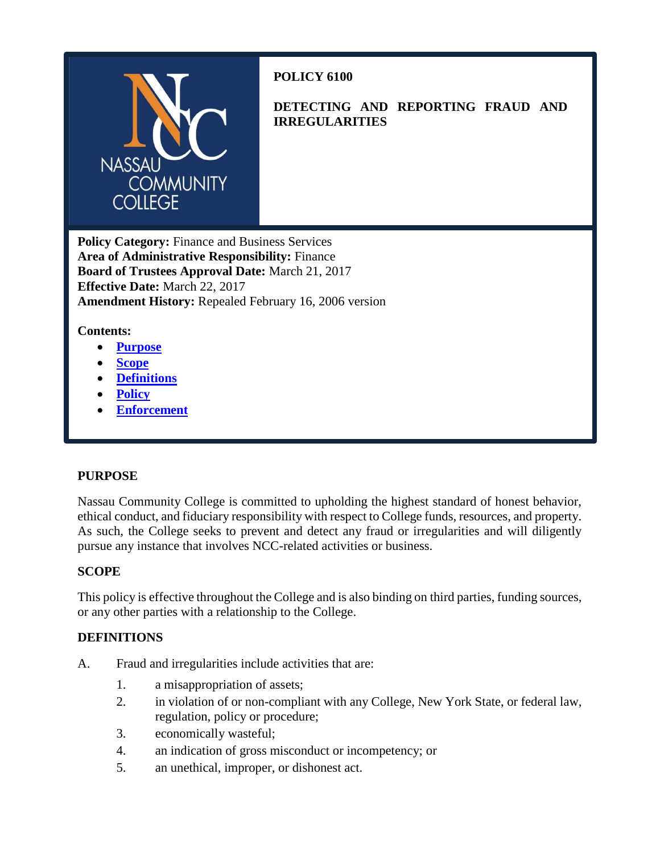

# **POLICY 6100**

**DETECTING AND REPORTING FRAUD AND IRREGULARITIES**

**Policy Category:** Finance and Business Services **Area of Administrative Responsibility:** Finance **Board of Trustees Approval Date:** March 21, 2017 **Effective Date:** March 22, 2017 **Amendment History:** Repealed February 16, 2006 version

## **Contents:**

- **[Purpose](#page-0-0)**
- **[Scope](#page-0-1)**
- **[Definitions](#page-0-2)**
- **[Policy](#page-1-0)**
- **[Enforcement](#page-1-1)**

### <span id="page-0-0"></span>**PURPOSE**

Nassau Community College is committed to upholding the highest standard of honest behavior, ethical conduct, and fiduciary responsibility with respect to College funds, resources, and property. As such, the College seeks to prevent and detect any fraud or irregularities and will diligently pursue any instance that involves NCC-related activities or business.

### <span id="page-0-1"></span>**SCOPE**

This policy is effective throughout the College and is also binding on third parties, funding sources, or any other parties with a relationship to the College.

### <span id="page-0-2"></span>**DEFINITIONS**

- A. Fraud and irregularities include activities that are:
	- 1. a misappropriation of assets;
	- 2. in violation of or non-compliant with any College, New York State, or federal law, regulation, policy or procedure;
	- 3. economically wasteful;
	- 4. an indication of gross misconduct or incompetency; or
	- 5. an unethical, improper, or dishonest act.